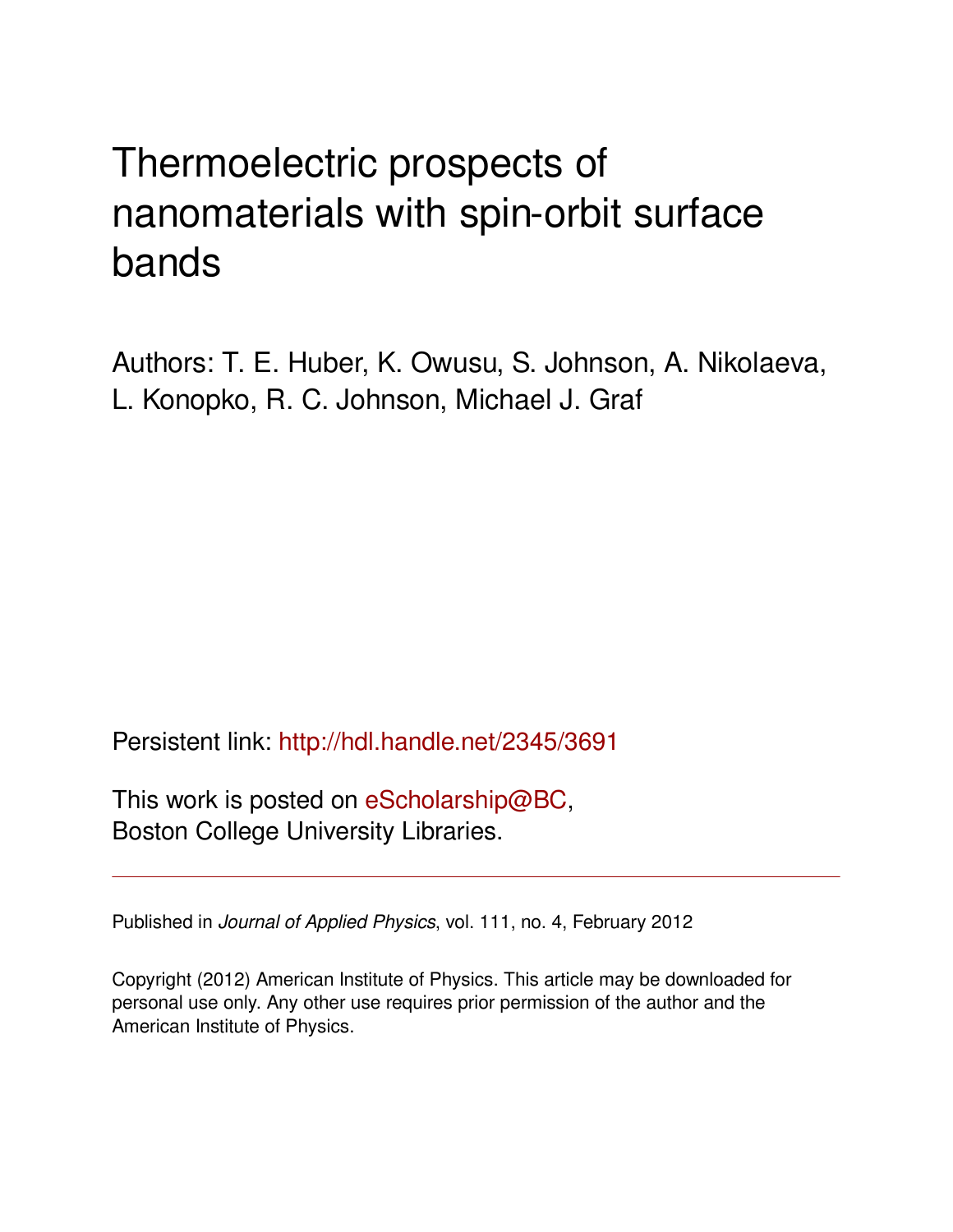# Thermoelectric prospects of nanomaterials with spin-orbit surface bands

Authors: T. E. Huber, K. Owusu, S. Johnson, A. Nikolaeva, L. Konopko, R. C. Johnson, Michael J. Graf

Persistent link: <http://hdl.handle.net/2345/3691>

This work is posted on [eScholarship@BC](http://escholarship.bc.edu), Boston College University Libraries.

Published in *Journal of Applied Physics*, vol. 111, no. 4, February 2012

Copyright (2012) American Institute of Physics. This article may be downloaded for personal use only. Any other use requires prior permission of the author and the American Institute of Physics.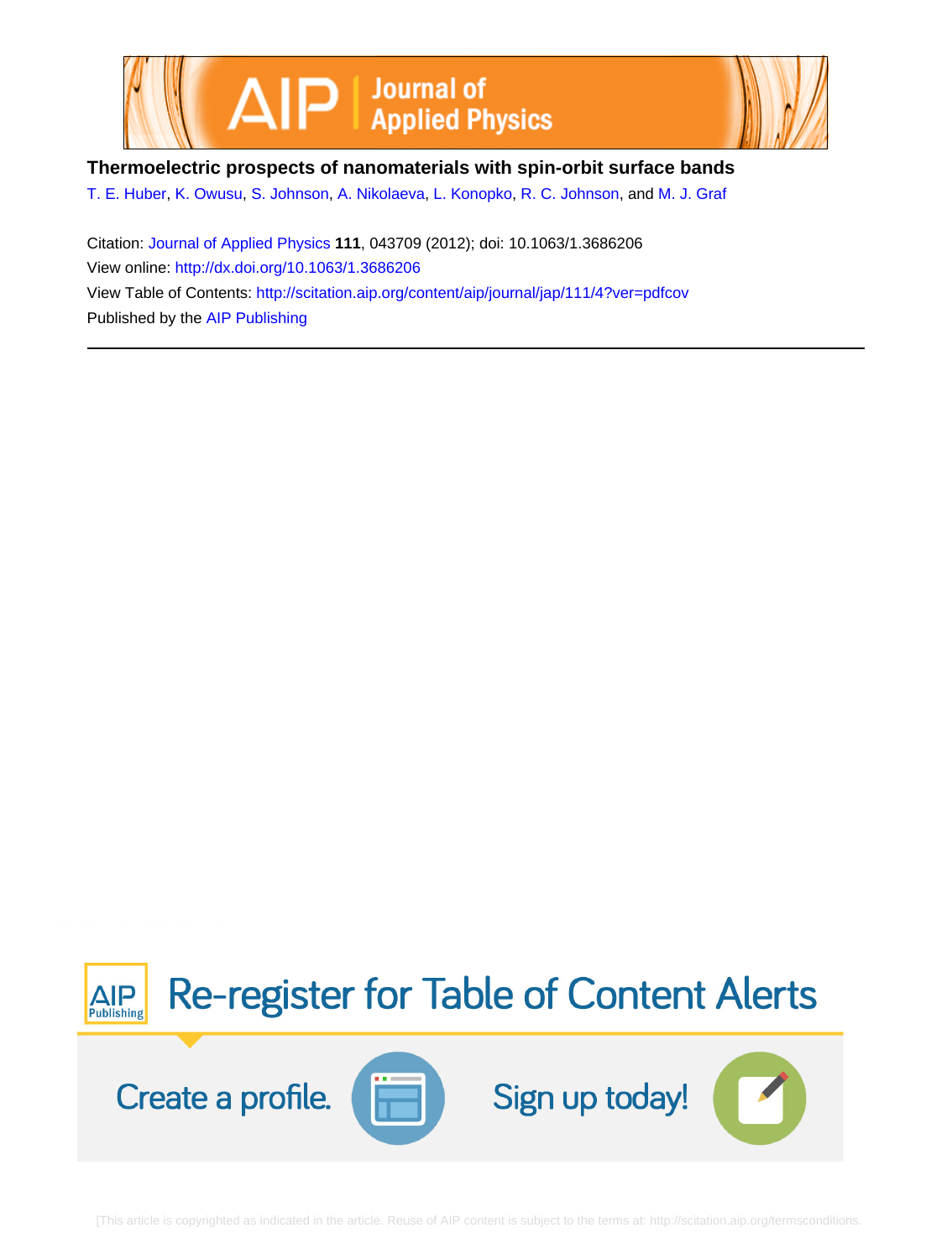



**Thermoelectric prospects of nanomaterials with spin-orbit surface bands**

[T. E. Huber](http://scitation.aip.org/search?value1=T.+E.+Huber&option1=author), [K. Owusu](http://scitation.aip.org/search?value1=K.+Owusu&option1=author), [S. Johnson,](http://scitation.aip.org/search?value1=S.+Johnson&option1=author) [A. Nikolaeva](http://scitation.aip.org/search?value1=A.+Nikolaeva&option1=author), [L. Konopko](http://scitation.aip.org/search?value1=L.+Konopko&option1=author), [R. C. Johnson](http://scitation.aip.org/search?value1=R.+C.+Johnson&option1=author), and [M. J. Graf](http://scitation.aip.org/search?value1=M.+J.+Graf&option1=author)

Citation: [Journal of Applied Physics](http://scitation.aip.org/content/aip/journal/jap?ver=pdfcov) **111**, 043709 (2012); doi: 10.1063/1.3686206 View online: <http://dx.doi.org/10.1063/1.3686206> View Table of Contents: <http://scitation.aip.org/content/aip/journal/jap/111/4?ver=pdfcov> Published by the [AIP Publishing](http://scitation.aip.org/content/aip?ver=pdfcov)

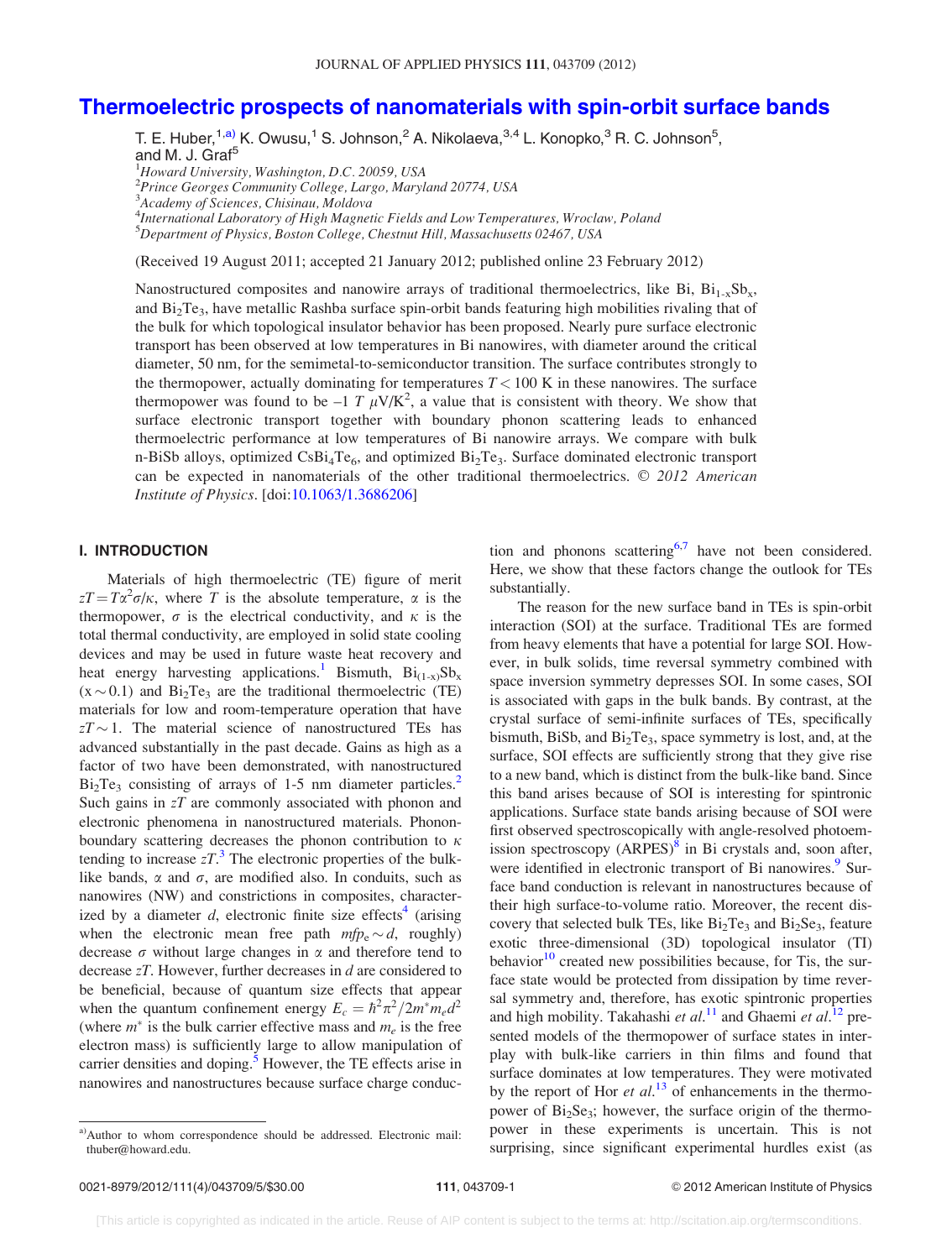# [Thermoelectric prospects of nanomaterials with spin-orbit surface bands](http://dx.doi.org/10.1063/1.3686206)

T. E. Huber,  $^{1,\text{a)}}$  K. Owusu,  $^{1}$  S. Johnson,  $^{2}$  A. Nikolaeva,  $^{3,4}$  L. Konopko,  $^{3}$  R. C. Johnson $^{5},$ and M. J. Graf<sup>5</sup>

<sup>1</sup>Howard University, Washington, D.C. 20059, USA

2 Prince Georges Community College, Largo, Maryland 20774, USA

<sup>3</sup>Academy of Sciences, Chisinau, Moldova

<sup>4</sup>International Laboratory of High Magnetic Fields and Low Temperatures, Wroclaw, Poland

5 Department of Physics, Boston College, Chestnut Hill, Massachusetts 02467, USA

(Received 19 August 2011; accepted 21 January 2012; published online 23 February 2012)

Nanostructured composites and nanowire arrays of traditional thermoelectrics, like Bi,  $Bi_{1-x}Sb_x$ , and  $Bi_2Te_3$ , have metallic Rashba surface spin-orbit bands featuring high mobilities rivaling that of the bulk for which topological insulator behavior has been proposed. Nearly pure surface electronic transport has been observed at low temperatures in Bi nanowires, with diameter around the critical diameter, 50 nm, for the semimetal-to-semiconductor transition. The surface contributes strongly to the thermopower, actually dominating for temperatures  $T < 100$  K in these nanowires. The surface thermopower was found to be  $-1 T \mu V/K^2$ , a value that is consistent with theory. We show that surface electronic transport together with boundary phonon scattering leads to enhanced thermoelectric performance at low temperatures of Bi nanowire arrays. We compare with bulk n-BiSb alloys, optimized  $CSB_4Te_6$ , and optimized  $Bi_2Te_3$ . Surface dominated electronic transport can be expected in nanomaterials of the other traditional thermoelectrics.  $\odot$  2012 American Institute of Physics. [doi[:10.1063/1.3686206](http://dx.doi.org/10.1063/1.3686206)]

### I. INTRODUCTION

Materials of high thermoelectric (TE) figure of merit  $zT = T\alpha^2 \sigma/\kappa$ , where T is the absolute temperature,  $\alpha$  is the thermopower,  $\sigma$  is the electrical conductivity, and  $\kappa$  is the total thermal conductivity, are employed in solid state cooling devices and may be used in future waste heat recovery and heat energy harvesting applications.<sup>[1](#page-5-0)</sup> Bismuth,  $Bi_{(1-x)}Sb_x$  $(x \sim 0.1)$  and Bi<sub>2</sub>Te<sub>3</sub> are the traditional thermoelectric (TE) materials for low and room-temperature operation that have  $zT \sim 1$ . The material science of nanostructured TEs has advanced substantially in the past decade. Gains as high as a factor of two have been demonstrated, with nanostructured  $Bi<sub>2</sub>Te<sub>3</sub>$  consisting of arrays of 1-5 nm diameter particles.<sup>2</sup> Such gains in  $zT$  are commonly associated with phonon and electronic phenomena in nanostructured materials. Phononboundary scattering decreases the phonon contribution to  $\kappa$ tending to increase  $zT$ .<sup>[3](#page-5-0)</sup> The electronic properties of the bulklike bands,  $\alpha$  and  $\sigma$ , are modified also. In conduits, such as nanowires (NW) and constrictions in composites, characterized by a diameter d, electronic finite size effects<sup>4</sup> (arising when the electronic mean free path  $mfp_e \sim d$ , roughly) decrease  $\sigma$  without large changes in  $\alpha$  and therefore tend to decrease *zT*. However, further decreases in *d* are considered to be beneficial, because of quantum size effects that appear when the quantum confinement energy  $E_c = \hbar^2 \pi^2 / 2m^* m_e d^2$ (where  $m^*$  is the bulk carrier effective mass and  $m_e$  is the free electron mass) is sufficiently large to allow manipulation of carrier densities and doping.<sup>[5](#page-5-0)</sup> However, the TE effects arise in nanowires and nanostructures because surface charge conduction and phonons scattering<sup>[6,7](#page-5-0)</sup> have not been considered. Here, we show that these factors change the outlook for TEs substantially.

The reason for the new surface band in TEs is spin-orbit interaction (SOI) at the surface. Traditional TEs are formed from heavy elements that have a potential for large SOI. However, in bulk solids, time reversal symmetry combined with space inversion symmetry depresses SOI. In some cases, SOI is associated with gaps in the bulk bands. By contrast, at the crystal surface of semi-infinite surfaces of TEs, specifically bismuth, BiSb, and  $Bi<sub>2</sub>Te<sub>3</sub>$ , space symmetry is lost, and, at the surface, SOI effects are sufficiently strong that they give rise to a new band, which is distinct from the bulk-like band. Since this band arises because of SOI is interesting for spintronic applications. Surface state bands arising because of SOI were first observed spectroscopically with angle-resolved photoemission spectroscopy  $(ARPES)^8$  in Bi crystals and, soon after, were identified in electronic transport of Bi nanowires.<sup>9</sup> Surface band conduction is relevant in nanostructures because of their high surface-to-volume ratio. Moreover, the recent discovery that selected bulk TEs, like  $Bi<sub>2</sub>Te<sub>3</sub>$  and  $Bi<sub>2</sub>Se<sub>3</sub>$ , feature exotic three-dimensional (3D) topological insulator (TI) behavior $10$  created new possibilities because, for Tis, the surface state would be protected from dissipation by time reversal symmetry and, therefore, has exotic spintronic properties and high mobility. Takahashi et  $al$ .<sup>[11](#page-5-0)</sup> and Ghaemi et  $al$ .<sup>[12](#page-5-0)</sup> presented models of the thermopower of surface states in interplay with bulk-like carriers in thin films and found that surface dominates at low temperatures. They were motivated by the report of Hor et  $al$ <sup>[13](#page-5-0)</sup> of enhancements in the thermopower of Bi<sub>2</sub>Se<sub>3</sub>; however, the surface origin of the thermopower in these experiments is uncertain. This is not surprising, since significant experimental hurdles exist (as

a)Author to whom correspondence should be addressed. Electronic mail: thuber@howard.edu.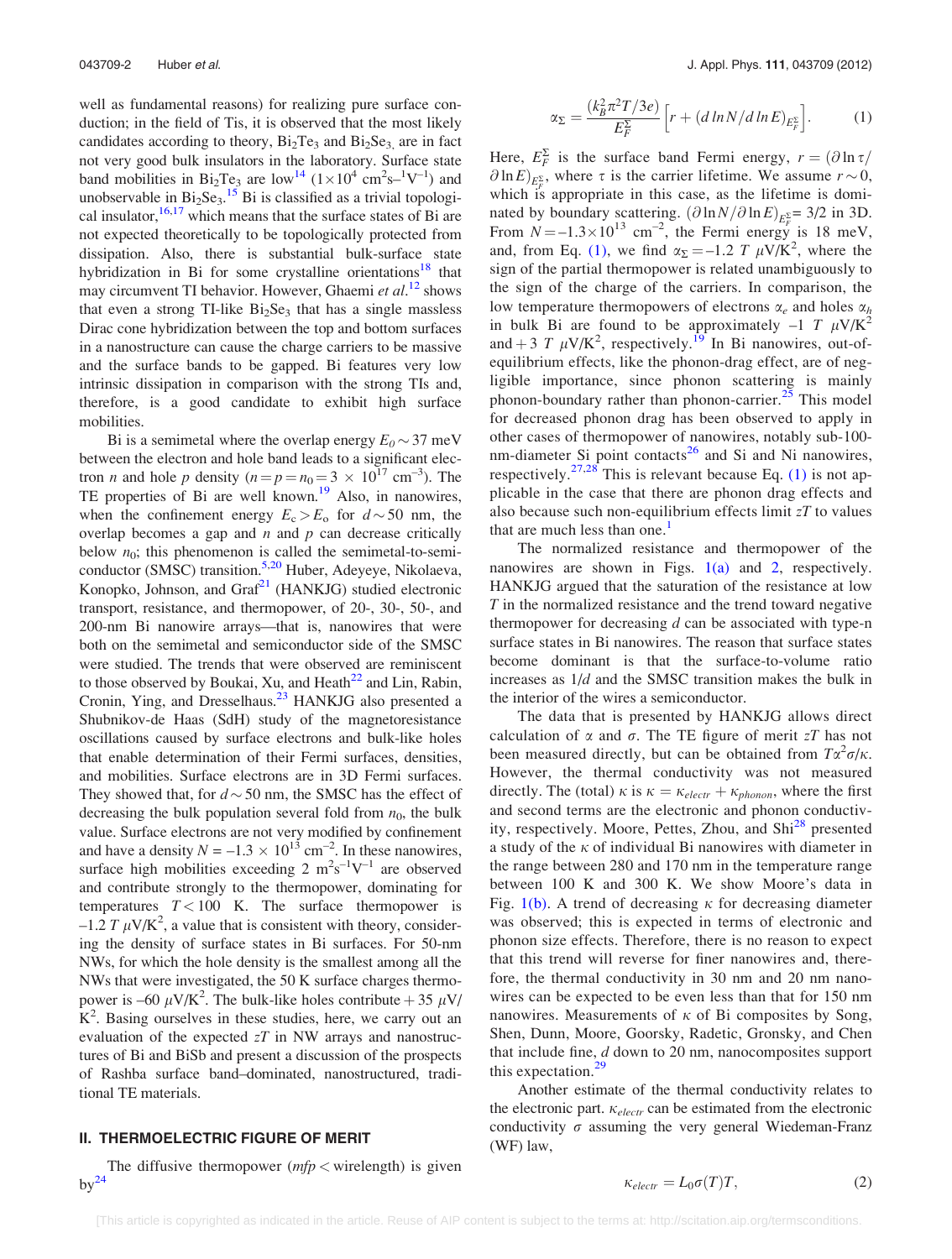<span id="page-3-0"></span>well as fundamental reasons) for realizing pure surface conduction; in the field of Tis, it is observed that the most likely candidates according to theory,  $Bi<sub>2</sub>Te<sub>3</sub>$  and  $Bi<sub>2</sub>Se<sub>3</sub>$  are in fact not very good bulk insulators in the laboratory. Surface state band mobilities in Bi<sub>2</sub>Te<sub>3</sub> are low<sup>14</sup>  $(1 \times 10^4 \text{ cm}^2 \text{s}^{-1} \text{V}^{-1})$  and unobservable in  $Bi_2Se_3$ .<sup>[15](#page-6-0)</sup> Bi is classified as a trivial topological insulator,  $16,17$  which means that the surface states of Bi are not expected theoretically to be topologically protected from dissipation. Also, there is substantial bulk-surface state hybridization in Bi for some crystalline orientations<sup>[18](#page-6-0)</sup> that may circumvent TI behavior. However, Ghaemi et al.<sup>[12](#page-5-0)</sup> shows that even a strong TI-like  $Bi<sub>2</sub>Se<sub>3</sub>$  that has a single massless Dirac cone hybridization between the top and bottom surfaces in a nanostructure can cause the charge carriers to be massive and the surface bands to be gapped. Bi features very low intrinsic dissipation in comparison with the strong TIs and, therefore, is a good candidate to exhibit high surface mobilities.

Bi is a semimetal where the overlap energy  $E_0 \sim 37$  meV between the electron and hole band leads to a significant electron *n* and hole *p* density  $(n = p = n_0 = 3 \times 10^{17} \text{ cm}^{-3})$ . The TE properties of Bi are well known.<sup>[19](#page-6-0)</sup> Also, in nanowires, when the confinement energy  $E_c > E_o$  for  $d \sim 50$  nm, the overlap becomes a gap and  $n$  and  $p$  can decrease critically below  $n_0$ ; this phenomenon is called the semimetal-to-semi-conductor (SMSC) transition.<sup>5,[20](#page-6-0)</sup> Huber, Adeyeye, Nikolaeva, Konopko, Johnson, and  $Graf<sup>21</sup>$  $Graf<sup>21</sup>$  $Graf<sup>21</sup>$  (HANKJG) studied electronic transport, resistance, and thermopower, of 20-, 30-, 50-, and 200-nm Bi nanowire arrays—that is, nanowires that were both on the semimetal and semiconductor side of the SMSC were studied. The trends that were observed are reminiscent to those observed by Boukai, Xu, and Heath $^{22}$  $^{22}$  $^{22}$  and Lin, Rabin, Cronin, Ying, and Dresselhaus.<sup>[23](#page-6-0)</sup> HANKJG also presented a Shubnikov-de Haas (SdH) study of the magnetoresistance oscillations caused by surface electrons and bulk-like holes that enable determination of their Fermi surfaces, densities, and mobilities. Surface electrons are in 3D Fermi surfaces. They showed that, for  $d \sim 50$  nm, the SMSC has the effect of decreasing the bulk population several fold from  $n_0$ , the bulk value. Surface electrons are not very modified by confinement and have a density  $N = -1.3 \times 10^{13}$  cm<sup>-2</sup>. In these nanowires, surface high mobilities exceeding 2  $m^2s^{-1}V^{-1}$  are observed and contribute strongly to the thermopower, dominating for temperatures  $T < 100$  K. The surface thermopower is  $-1.2 T \mu V/K^2$ , a value that is consistent with theory, considering the density of surface states in Bi surfaces. For 50-nm NWs, for which the hole density is the smallest among all the NWs that were investigated, the 50 K surface charges thermopower is –60  $\mu$ V/K<sup>2</sup>. The bulk-like holes contribute + 35  $\mu$ V/  $K^2$ . Basing ourselves in these studies, here, we carry out an evaluation of the expected  $zT$  in NW arrays and nanostructures of Bi and BiSb and present a discussion of the prospects of Rashba surface band–dominated, nanostructured, traditional TE materials.

#### II. THERMOELECTRIC FIGURE OF MERIT

The diffusive thermopower  $(mfp <$  wirelength) is given  $bv^{24}$ 

$$
\alpha_{\Sigma} = \frac{(k_B^2 \pi^2 T/3e)}{E_F^{\Sigma}} \left[ r + (d \ln N/d \ln E)_{E_F^{\Sigma}} \right].
$$
 (1)

Here,  $E_F^{\Sigma}$  is the surface band Fermi energy,  $r = (\partial \ln \tau / \sqrt{\frac{\mu^2}{c^2}})$  $\partial \ln E_{E_F^{\Sigma}}$ , where  $\tau$  is the carrier lifetime. We assume  $r \sim 0$ , which is appropriate in this case, as the lifetime is dominated by boundary scattering.  $(\partial \ln N/\partial \ln E)_{E_F^{\Sigma}} = 3/2$  in 3D. From  $N = -1.3 \times 10^{13}$  cm<sup>-2</sup>, the Fermi energy is 18 meV, and, from Eq. (1), we find  $\alpha_{\Sigma} = -1.2 T \mu V/K^2$ , where the sign of the partial thermopower is related unambiguously to the sign of the charge of the carriers. In comparison, the low temperature thermopowers of electrons  $\alpha_e$  and holes  $\alpha_h$ in bulk Bi are found to be approximately  $-1$  T  $\mu$ V/K<sup>2</sup> and + 3 T  $\mu$ V/K<sup>2</sup>, respectively.<sup>[19](#page-6-0)</sup> In Bi nanowires, out-ofequilibrium effects, like the phonon-drag effect, are of negligible importance, since phonon scattering is mainly phonon-boundary rather than phonon-carrier.<sup>[25](#page-6-0)</sup> This model for decreased phonon drag has been observed to apply in other cases of thermopower of nanowires, notably sub-100 nm-diameter Si point contacts $^{26}$  $^{26}$  $^{26}$  and Si and Ni nanowires, respectively.<sup>[27,28](#page-6-0)</sup> This is relevant because Eq. (1) is not applicable in the case that there are phonon drag effects and also because such non-equilibrium effects limit  $zT$  to values that are much less than one. $<sup>1</sup>$  $<sup>1</sup>$  $<sup>1</sup>$ </sup>

The normalized resistance and thermopower of the nanowires are shown in Figs.  $1(a)$  and [2](#page-4-0), respectively. HANKJG argued that the saturation of the resistance at low T in the normalized resistance and the trend toward negative thermopower for decreasing  $d$  can be associated with type-n surface states in Bi nanowires. The reason that surface states become dominant is that the surface-to-volume ratio increases as 1/d and the SMSC transition makes the bulk in the interior of the wires a semiconductor.

The data that is presented by HANKJG allows direct calculation of  $\alpha$  and  $\sigma$ . The TE figure of merit  $zT$  has not been measured directly, but can be obtained from  $T\alpha^2\sigma/\kappa$ . However, the thermal conductivity was not measured directly. The (total)  $\kappa$  is  $\kappa = \kappa_{electr} + \kappa_{phonon}$ , where the first and second terms are the electronic and phonon conductiv-ity, respectively. Moore, Pettes, Zhou, and Shi<sup>[28](#page-6-0)</sup> presented a study of the  $\kappa$  of individual Bi nanowires with diameter in the range between 280 and 170 nm in the temperature range between 100 K and 300 K. We show Moore's data in Fig.  $1(b)$ . A trend of decreasing  $\kappa$  for decreasing diameter was observed; this is expected in terms of electronic and phonon size effects. Therefore, there is no reason to expect that this trend will reverse for finer nanowires and, therefore, the thermal conductivity in 30 nm and 20 nm nanowires can be expected to be even less than that for 150 nm nanowires. Measurements of  $\kappa$  of Bi composites by Song, Shen, Dunn, Moore, Goorsky, Radetic, Gronsky, and Chen that include fine, d down to 20 nm, nanocomposites support this expectation.<sup>[29](#page-6-0)</sup>

Another estimate of the thermal conductivity relates to the electronic part.  $\kappa_{electr}$  can be estimated from the electronic conductivity  $\sigma$  assuming the very general Wiedeman-Franz (WF) law,

$$
\kappa_{electr} = L_0 \sigma(T) T,\tag{2}
$$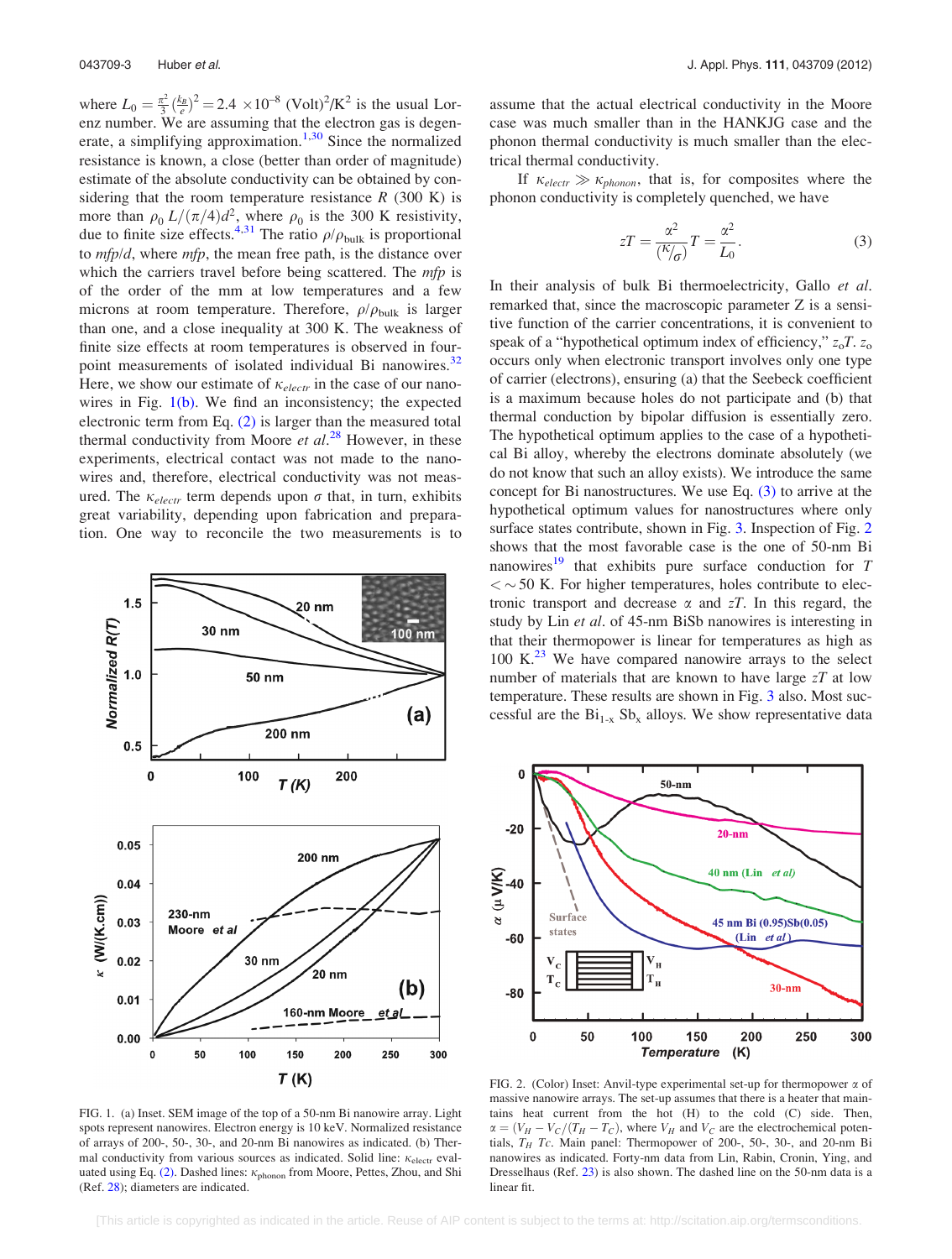<span id="page-4-0"></span>where  $L_0 = \frac{\pi^2}{3} \left(\frac{k_B}{e}\right)^2 = 2.4 \times 10^{-8}$  (Volt)<sup>2</sup>/K<sup>2</sup> is the usual Lorenz number. We are assuming that the electron gas is degen-erate, a simplifying approximation.<sup>[1](#page-5-0)[,30](#page-6-0)</sup> Since the normalized resistance is known, a close (better than order of magnitude) estimate of the absolute conductivity can be obtained by considering that the room temperature resistance  $R$  (300 K) is more than  $\rho_0 L/(\pi/4)d^2$ , where  $\rho_0$  is the 300 K resistivity, due to finite size effects.<sup>[4,](#page-5-0)[31](#page-6-0)</sup> The ratio  $\rho/\rho_{\text{bulk}}$  is proportional to  $mfp/d$ , where  $mfp$ , the mean free path, is the distance over which the carriers travel before being scattered. The *mfp* is of the order of the mm at low temperatures and a few microns at room temperature. Therefore,  $\rho/\rho_{\text{bulk}}$  is larger than one, and a close inequality at 300 K. The weakness of finite size effects at room temperatures is observed in four-point measurements of isolated individual Bi nanowires.<sup>[32](#page-6-0)</sup> Here, we show our estimate of  $\kappa_{electr}$  in the case of our nanowires in Fig.  $1(b)$ . We find an inconsistency; the expected electronic term from Eq. [\(2\)](#page-3-0) is larger than the measured total thermal conductivity from Moore et  $al.^{28}$  $al.^{28}$  $al.^{28}$  However, in these experiments, electrical contact was not made to the nanowires and, therefore, electrical conductivity was not measured. The  $\kappa_{electr}$  term depends upon  $\sigma$  that, in turn, exhibits great variability, depending upon fabrication and preparation. One way to reconcile the two measurements is to



FIG. 1. (a) Inset. SEM image of the top of a 50-nm Bi nanowire array. Light spots represent nanowires. Electron energy is 10 keV. Normalized resistance of arrays of 200-, 50-, 30-, and 20-nm Bi nanowires as indicated. (b) Thermal conductivity from various sources as indicated. Solid line:  $\kappa_{\text{electr}}$  eval-uated using Eq. [\(2\).](#page-3-0) Dashed lines:  $\kappa_{phonon}$  from Moore, Pettes, Zhou, and Shi (Ref. [28](#page-6-0)); diameters are indicated.

assume that the actual electrical conductivity in the Moore case was much smaller than in the HANKJG case and the phonon thermal conductivity is much smaller than the electrical thermal conductivity.

If  $\kappa_{electr} \gg \kappa_{phonon}$ , that is, for composites where the phonon conductivity is completely quenched, we have

$$
zT = \frac{\alpha^2}{\left(\frac{\kappa}{\sigma}\right)}T = \frac{\alpha^2}{L_0}.
$$
 (3)

In their analysis of bulk Bi thermoelectricity, Gallo et al. remarked that, since the macroscopic parameter Z is a sensitive function of the carrier concentrations, it is convenient to speak of a "hypothetical optimum index of efficiency,"  $z_0T$ .  $z_0$ occurs only when electronic transport involves only one type of carrier (electrons), ensuring (a) that the Seebeck coefficient is a maximum because holes do not participate and (b) that thermal conduction by bipolar diffusion is essentially zero. The hypothetical optimum applies to the case of a hypothetical Bi alloy, whereby the electrons dominate absolutely (we do not know that such an alloy exists). We introduce the same concept for Bi nanostructures. We use Eq. (3) to arrive at the hypothetical optimum values for nanostructures where only surface states contribute, shown in Fig. [3.](#page-5-0) Inspection of Fig. 2 shows that the most favorable case is the one of 50-nm Bi nanowires<sup>19</sup> that exhibits pure surface conduction for  $T$  $<$   $\sim$  50 K. For higher temperatures, holes contribute to electronic transport and decrease  $\alpha$  and  $zT$ . In this regard, the study by Lin et al. of 45-nm BiSb nanowires is interesting in that their thermopower is linear for temperatures as high as  $100 \text{ K.}^{23}$  $100 \text{ K.}^{23}$  $100 \text{ K.}^{23}$  We have compared nanowire arrays to the select number of materials that are known to have large  $zT$  at low temperature. These results are shown in Fig. [3](#page-5-0) also. Most successful are the  $Bi_{1-x}Sb_x$  alloys. We show representative data



FIG. 2. (Color) Inset: Anvil-type experimental set-up for thermopower  $\alpha$  of massive nanowire arrays. The set-up assumes that there is a heater that maintains heat current from the hot (H) to the cold (C) side. Then,  $\alpha = (V_H - V_C/(T_H - T_C))$ , where  $V_H$  and  $V_C$  are the electrochemical potentials,  $T_H$  Tc. Main panel: Thermopower of 200-, 50-, 30-, and 20-nm Bi nanowires as indicated. Forty-nm data from Lin, Rabin, Cronin, Ying, and Dresselhaus (Ref. [23](#page-6-0)) is also shown. The dashed line on the 50-nm data is a linear fit.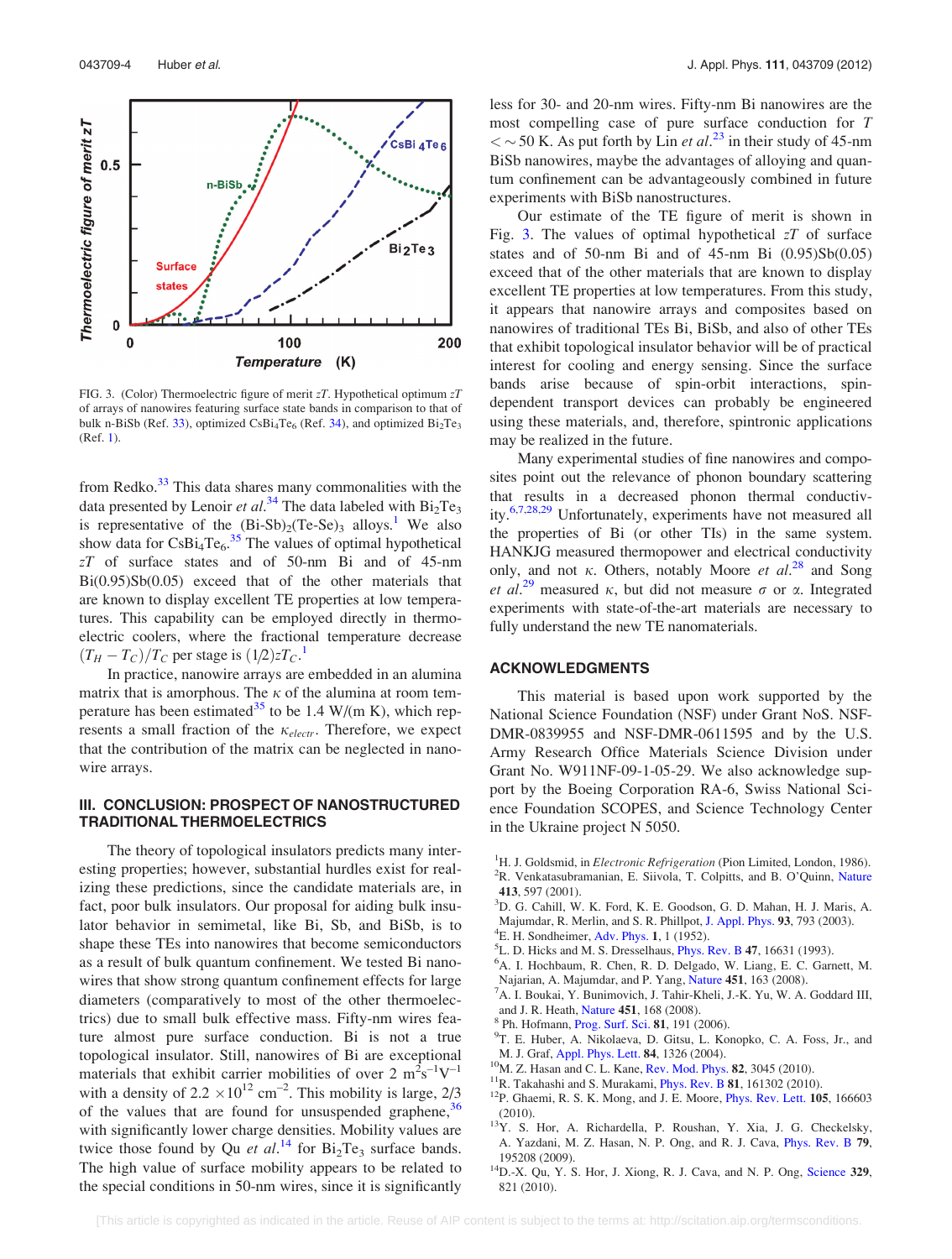<span id="page-5-0"></span>

FIG. 3. (Color) Thermoelectric figure of merit  $zT$ . Hypothetical optimum  $zT$ of arrays of nanowires featuring surface state bands in comparison to that of bulk n-BiSb (Ref. [33\)](#page-6-0), optimized  $CsBi_4Te_6$  (Ref. [34\)](#page-6-0), and optimized  $Bi_2Te_3$ (Ref. 1).

from Redko.<sup>33</sup> This data shares many commonalities with the data presented by Lenoir et al.<sup>[34](#page-6-0)</sup> The data labeled with  $Bi_2Te_3$ is representative of the  $(Bi-Sb)<sub>2</sub>(Te-Se)<sub>3</sub>$  alloys.<sup>1</sup> We also show data for  $CsBi_4Te_6$ .<sup>[35](#page-6-0)</sup> The values of optimal hypothetical zT of surface states and of 50-nm Bi and of 45-nm Bi(0.95)Sb(0.05) exceed that of the other materials that are known to display excellent TE properties at low temperatures. This capability can be employed directly in thermoelectric coolers, where the fractional temperature decrease  $(T_H - T_C)/T_C$  per stage is  $(1/2)zT_C$ .<sup>1</sup>

In practice, nanowire arrays are embedded in an alumina matrix that is amorphous. The  $\kappa$  of the alumina at room tem-perature has been estimated<sup>[35](#page-6-0)</sup> to be 1.4 W/(m K), which represents a small fraction of the  $\kappa_{electr}$ . Therefore, we expect that the contribution of the matrix can be neglected in nanowire arrays.

# III. CONCLUSION: PROSPECT OF NANOSTRUCTURED TRADITIONAL THERMOELECTRICS

The theory of topological insulators predicts many interesting properties; however, substantial hurdles exist for realizing these predictions, since the candidate materials are, in fact, poor bulk insulators. Our proposal for aiding bulk insulator behavior in semimetal, like Bi, Sb, and BiSb, is to shape these TEs into nanowires that become semiconductors as a result of bulk quantum confinement. We tested Bi nanowires that show strong quantum confinement effects for large diameters (comparatively to most of the other thermoelectrics) due to small bulk effective mass. Fifty-nm wires feature almost pure surface conduction. Bi is not a true topological insulator. Still, nanowires of Bi are exceptional materials that exhibit carrier mobilities of over  $2 \text{ m}^2 \text{s}^{-1} \text{V}^{-1}$ with a density of  $2.2 \times 10^{12}$  cm<sup>-2</sup>. This mobility is large,  $2/3$ of the values that are found for unsuspended graphene,  $36$ with significantly lower charge densities. Mobility values are twice those found by Qu et  $al.^{14}$  for  $Bi_2Te_3$  surface bands. The high value of surface mobility appears to be related to the special conditions in 50-nm wires, since it is significantly less for 30- and 20-nm wires. Fifty-nm Bi nanowires are the most compelling case of pure surface conduction for T  $<$  ~ 50 K. As put forth by Lin *et al.*<sup>[23](#page-6-0)</sup> in their study of 45-nm BiSb nanowires, maybe the advantages of alloying and quantum confinement can be advantageously combined in future experiments with BiSb nanostructures.

Our estimate of the TE figure of merit is shown in Fig. 3. The values of optimal hypothetical  $zT$  of surface states and of 50-nm Bi and of  $45$ -nm Bi  $(0.95)Sb(0.05)$ exceed that of the other materials that are known to display excellent TE properties at low temperatures. From this study, it appears that nanowire arrays and composites based on nanowires of traditional TEs Bi, BiSb, and also of other TEs that exhibit topological insulator behavior will be of practical interest for cooling and energy sensing. Since the surface bands arise because of spin-orbit interactions, spindependent transport devices can probably be engineered using these materials, and, therefore, spintronic applications may be realized in the future.

Many experimental studies of fine nanowires and composites point out the relevance of phonon boundary scattering that results in a decreased phonon thermal conductiv-ity.<sup>6,7,[28,29](#page-6-0)</sup> Unfortunately, experiments have not measured all the properties of Bi (or other TIs) in the same system. HANKJG measured thermopower and electrical conductivity only, and not  $\kappa$ . Others, notably Moore et al.<sup>[28](#page-6-0)</sup> and Song et al.<sup>[29](#page-6-0)</sup> measured  $\kappa$ , but did not measure  $\sigma$  or  $\alpha$ . Integrated experiments with state-of-the-art materials are necessary to fully understand the new TE nanomaterials.

## ACKNOWLEDGMENTS

This material is based upon work supported by the National Science Foundation (NSF) under Grant NoS. NSF-DMR-0839955 and NSF-DMR-0611595 and by the U.S. Army Research Office Materials Science Division under Grant No. W911NF-09-1-05-29. We also acknowledge support by the Boeing Corporation RA-6, Swiss National Science Foundation SCOPES, and Science Technology Center in the Ukraine project N 5050.

- <sup>1</sup>H. J. Goldsmid, in *Electronic Refrigeration* (Pion Limited, London, 1986).<br><sup>2</sup>P. Venkatasuhramanian. E. Siivola T. Colnitts, and B. O'Quinn, Nature <sup>2</sup>R. Venkatasubramanian, E. Siivola, T. Colpitts, and B. O'Quinn, [Nature](http://dx.doi.org/10.1038/35098012) <sup>413</sup>, 597 (2001). <sup>3</sup>
- <sup>3</sup>D. G. Cahill, W. K. Ford, K. E. Goodson, G. D. Mahan, H. J. Maris, A. Majumdar, R. Merlin, and S. R. Phillpot, [J. Appl. Phys.](http://dx.doi.org/10.1063/1.1524305) 93, 793 (2003).
- ${}^{4}E$ . H. Sondheimer, [Adv. Phys.](http://dx.doi.org/10.1080/00018735200101151) 1, 1 (1952).
- ${}^{5}$ L. D. Hicks and M. S. Dresselhaus, *[Phys. Rev. B](http://dx.doi.org/10.1103/PhysRevB.47.16631)* 47, 16631 (1993).
- <sup>6</sup>A. I. Hochbaum, R. Chen, R. D. Delgado, W. Liang, E. C. Garnett, M. Najarian, A. Majumdar, and P. Yang, [Nature](http://dx.doi.org/10.1038/nature06381) 451, 163 (2008).
- A. I. Boukai, Y. Bunimovich, J. Tahir-Kheli, J.-K. Yu, W. A. Goddard III, and J. R. Heath, [Nature](http://dx.doi.org/10.1038/nature06458) 451, 168 (2008).<br><sup>8</sup> Ph. Hofmann, [Prog. Surf. Sci.](http://dx.doi.org/10.1016/j.progsurf.2006.03.001) 81, 191 (2006).
- 
- T. E. Huber, A. Nikolaeva, D. Gitsu, L. Konopko, C. A. Foss, Jr., and M. J. Graf, [Appl. Phys. Lett.](http://dx.doi.org/10.1063/1.1650038) **84**, 1326 (2004).<br><sup>10</sup>M. Z. Hasan and C. L. Kane, [Rev. Mod. Phys.](http://dx.doi.org/10.1103/RevModPhys.82.3045) **82**, 3045 (2010).<br><sup>11</sup>R. Takahashi and S. Murakami, [Phys. Rev. B](http://dx.doi.org/10.1103/PhysRevB.81.161302) **81**, 161302 (2010).<br><sup>12</sup>P. Ghaemi, R. S. K. Mong, and J. E
- 
- 
- 
- (2010).<br><sup>13</sup>Y. S. Hor, A. Richardella, P. Roushan, Y. Xia, J. G. Checkelsky, A. Yazdani, M. Z. Hasan, N. P. Ong, and R. J. Cava, [Phys. Rev. B](http://dx.doi.org/10.1103/PhysRevB.79.195208) 79,
- 195208 (2009). <sup>14</sup>D.-X. Qu, Y. S. Hor, J. Xiong, R. J. Cava, and N. P. Ong, [Science](http://dx.doi.org/10.1126/science.1189792) **329**, 821 (2010).